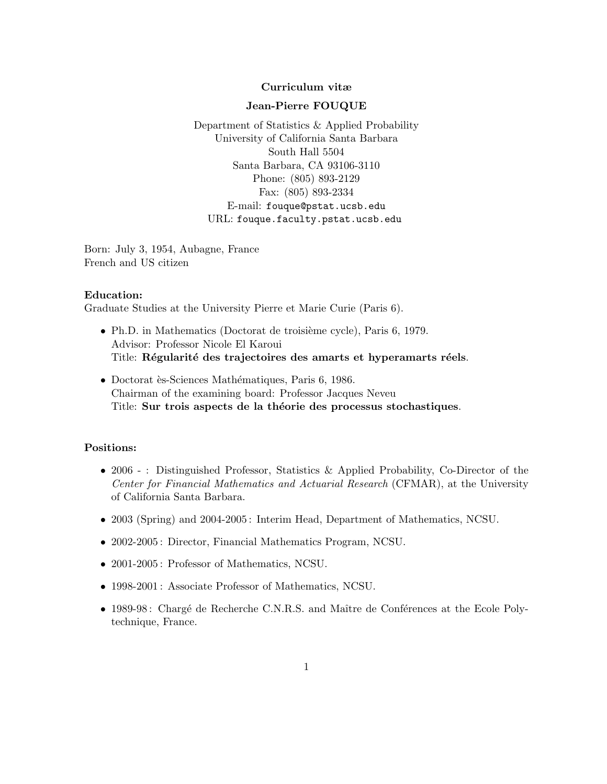## Curriculum vitæ

#### Jean-Pierre FOUQUE

Department of Statistics & Applied Probability University of California Santa Barbara South Hall 5504 Santa Barbara, CA 93106-3110 Phone: (805) 893-2129 Fax: (805) 893-2334 E-mail: fouque@pstat.ucsb.edu URL: fouque.faculty.pstat.ucsb.edu

Born: July 3, 1954, Aubagne, France French and US citizen

## Education:

Graduate Studies at the University Pierre et Marie Curie (Paris 6).

- Ph.D. in Mathematics (Doctorat de troisième cycle), Paris 6, 1979. Advisor: Professor Nicole El Karoui Title: Régularité des trajectoires des amarts et hyperamarts réels.
- Doctorat ès-Sciences Mathématiques, Paris 6, 1986. Chairman of the examining board: Professor Jacques Neveu Title: Sur trois aspects de la théorie des processus stochastiques.

# Positions:

- 2006 : Distinguished Professor, Statistics & Applied Probability, Co-Director of the Center for Financial Mathematics and Actuarial Research (CFMAR), at the University of California Santa Barbara.
- 2003 (Spring) and 2004-2005 : Interim Head, Department of Mathematics, NCSU.
- 2002-2005 : Director, Financial Mathematics Program, NCSU.
- 2001-2005: Professor of Mathematics, NCSU.
- 1998-2001 : Associate Professor of Mathematics, NCSU.
- 1989-98: Chargé de Recherche C.N.R.S. and Maître de Conférences at the Ecole Polytechnique, France.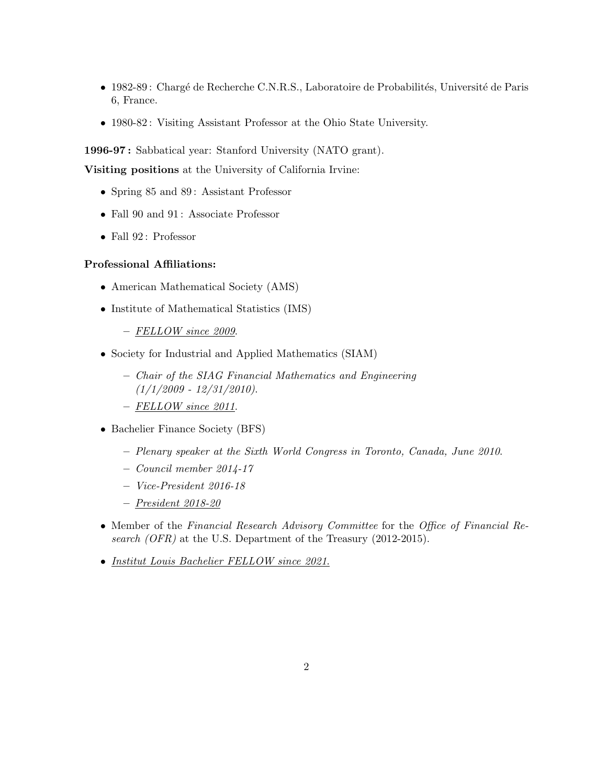- $\bullet$  1982-89 : Chargé de Recherche C.N.R.S., Laboratoire de Probabilités, Université de Paris 6, France.
- 1980-82: Visiting Assistant Professor at the Ohio State University.

1996-97 : Sabbatical year: Stanford University (NATO grant).

Visiting positions at the University of California Irvine:

- Spring 85 and 89: Assistant Professor
- Fall 90 and 91: Associate Professor
- Fall 92 : Professor

## Professional Affiliations:

- American Mathematical Society (AMS)
- Institute of Mathematical Statistics (IMS)
	- FELLOW since 2009.
- Society for Industrial and Applied Mathematics (SIAM)
	- Chair of the SIAG Financial Mathematics and Engineering  $(1/1/2009 - 12/31/2010).$
	- FELLOW since 2011.
- Bachelier Finance Society (BFS)
	- Plenary speaker at the Sixth World Congress in Toronto, Canada, June 2010.
	- Council member 2014-17
	- Vice-President 2016-18
	- President 2018-20
- Member of the Financial Research Advisory Committee for the Office of Financial Research (OFR) at the U.S. Department of the Treasury (2012-2015).
- Institut Louis Bachelier FELLOW since 2021.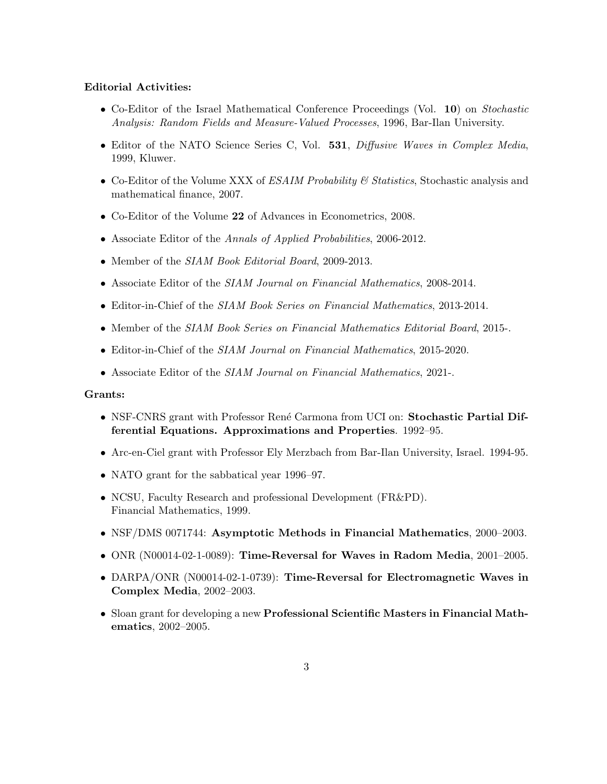## Editorial Activities:

- Co-Editor of the Israel Mathematical Conference Proceedings (Vol. 10) on Stochastic Analysis: Random Fields and Measure-Valued Processes, 1996, Bar-Ilan University.
- Editor of the NATO Science Series C, Vol. 531, Diffusive Waves in Complex Media, 1999, Kluwer.
- Co-Editor of the Volume XXX of  $ESAIM\ Probability\ & Statistics$ , Stochastic analysis and mathematical finance, 2007.
- Co-Editor of the Volume 22 of Advances in Econometrics, 2008.
- Associate Editor of the Annals of Applied Probabilities, 2006-2012.
- Member of the SIAM Book Editorial Board, 2009-2013.
- Associate Editor of the SIAM Journal on Financial Mathematics, 2008-2014.
- Editor-in-Chief of the SIAM Book Series on Financial Mathematics, 2013-2014.
- Member of the SIAM Book Series on Financial Mathematics Editorial Board, 2015-.
- Editor-in-Chief of the *SIAM Journal on Financial Mathematics*, 2015-2020.
- Associate Editor of the SIAM Journal on Financial Mathematics, 2021-.

#### Grants:

- NSF-CNRS grant with Professor René Carmona from UCI on: Stochastic Partial Differential Equations. Approximations and Properties. 1992–95.
- Arc-en-Ciel grant with Professor Ely Merzbach from Bar-Ilan University, Israel. 1994-95.
- NATO grant for the sabbatical year 1996–97.
- NCSU, Faculty Research and professional Development (FR&PD). Financial Mathematics, 1999.
- NSF/DMS 0071744: Asymptotic Methods in Financial Mathematics, 2000–2003.
- ONR (N00014-02-1-0089): Time-Reversal for Waves in Radom Media, 2001–2005.
- DARPA/ONR (N00014-02-1-0739): Time-Reversal for Electromagnetic Waves in Complex Media, 2002–2003.
- Sloan grant for developing a new Professional Scientific Masters in Financial Mathematics, 2002–2005.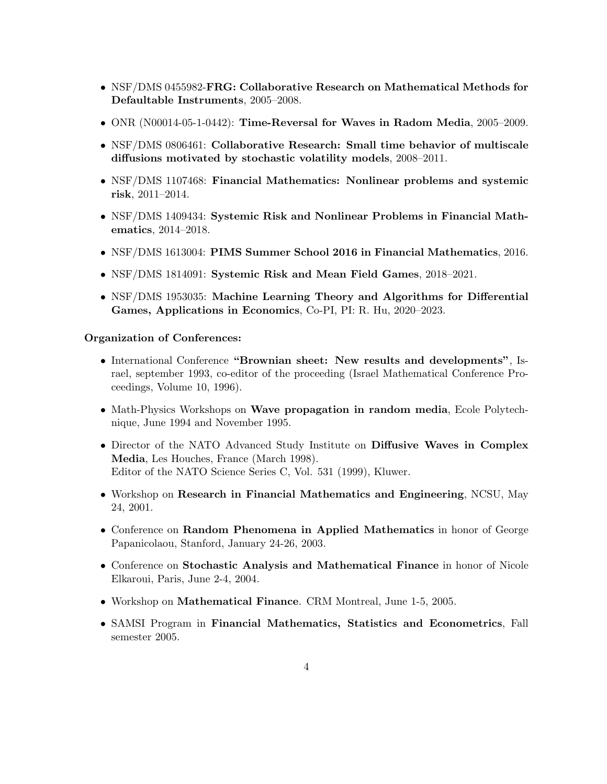- NSF/DMS 0455982-FRG: Collaborative Research on Mathematical Methods for Defaultable Instruments, 2005–2008.
- ONR (N00014-05-1-0442): Time-Reversal for Waves in Radom Media, 2005–2009.
- NSF/DMS 0806461: Collaborative Research: Small time behavior of multiscale diffusions motivated by stochastic volatility models, 2008–2011.
- NSF/DMS 1107468: Financial Mathematics: Nonlinear problems and systemic risk, 2011–2014.
- NSF/DMS 1409434: Systemic Risk and Nonlinear Problems in Financial Mathematics, 2014–2018.
- NSF/DMS 1613004: PIMS Summer School 2016 in Financial Mathematics, 2016.
- NSF/DMS 1814091: Systemic Risk and Mean Field Games, 2018–2021.
- NSF/DMS 1953035: Machine Learning Theory and Algorithms for Differential Games, Applications in Economics, Co-PI, PI: R. Hu, 2020–2023.

# Organization of Conferences:

- International Conference "Brownian sheet: New results and developments", Israel, september 1993, co-editor of the proceeding (Israel Mathematical Conference Proceedings, Volume 10, 1996).
- Math-Physics Workshops on Wave propagation in random media, Ecole Polytechnique, June 1994 and November 1995.
- Director of the NATO Advanced Study Institute on Diffusive Waves in Complex Media, Les Houches, France (March 1998). Editor of the NATO Science Series C, Vol. 531 (1999), Kluwer.
- Workshop on Research in Financial Mathematics and Engineering, NCSU, May 24, 2001.
- Conference on Random Phenomena in Applied Mathematics in honor of George Papanicolaou, Stanford, January 24-26, 2003.
- Conference on Stochastic Analysis and Mathematical Finance in honor of Nicole Elkaroui, Paris, June 2-4, 2004.
- Workshop on Mathematical Finance. CRM Montreal, June 1-5, 2005.
- SAMSI Program in Financial Mathematics, Statistics and Econometrics, Fall semester 2005.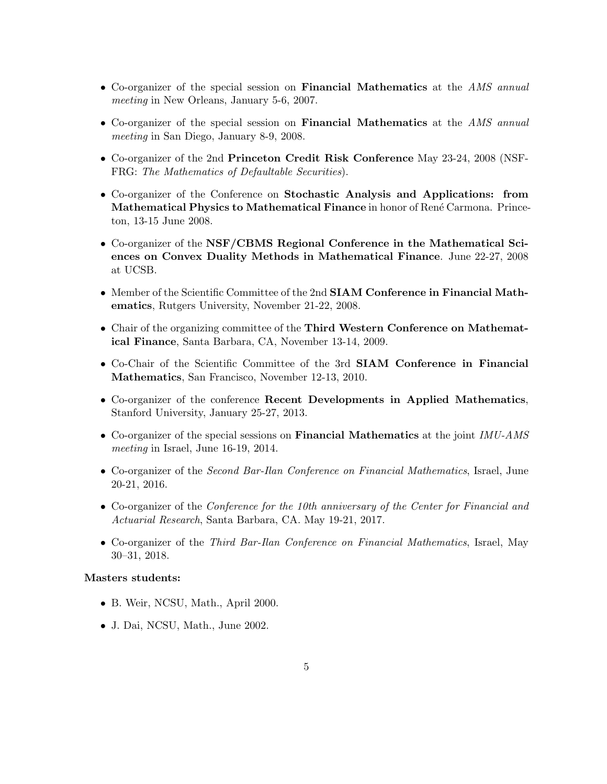- Co-organizer of the special session on Financial Mathematics at the AMS annual meeting in New Orleans, January 5-6, 2007.
- Co-organizer of the special session on **Financial Mathematics** at the *AMS annual* meeting in San Diego, January 8-9, 2008.
- Co-organizer of the 2nd Princeton Credit Risk Conference May 23-24, 2008 (NSF-FRG: The Mathematics of Defaultable Securities).
- Co-organizer of the Conference on Stochastic Analysis and Applications: from Mathematical Physics to Mathematical Finance in honor of René Carmona. Princeton, 13-15 June 2008.
- Co-organizer of the NSF/CBMS Regional Conference in the Mathematical Sciences on Convex Duality Methods in Mathematical Finance. June 22-27, 2008 at UCSB.
- Member of the Scientific Committee of the 2nd SIAM Conference in Financial Mathematics, Rutgers University, November 21-22, 2008.
- Chair of the organizing committee of the Third Western Conference on Mathematical Finance, Santa Barbara, CA, November 13-14, 2009.
- Co-Chair of the Scientific Committee of the 3rd SIAM Conference in Financial Mathematics, San Francisco, November 12-13, 2010.
- Co-organizer of the conference Recent Developments in Applied Mathematics, Stanford University, January 25-27, 2013.
- Co-organizer of the special sessions on **Financial Mathematics** at the joint IMU-AMS meeting in Israel, June 16-19, 2014.
- Co-organizer of the *Second Bar-Ilan Conference on Financial Mathematics*, Israel, June 20-21, 2016.
- Co-organizer of the Conference for the 10th anniversary of the Center for Financial and Actuarial Research, Santa Barbara, CA. May 19-21, 2017.
- Co-organizer of the *Third Bar-Ilan Conference on Financial Mathematics*, Israel, May 30–31, 2018.

## Masters students:

- B. Weir, NCSU, Math., April 2000.
- J. Dai, NCSU, Math., June 2002.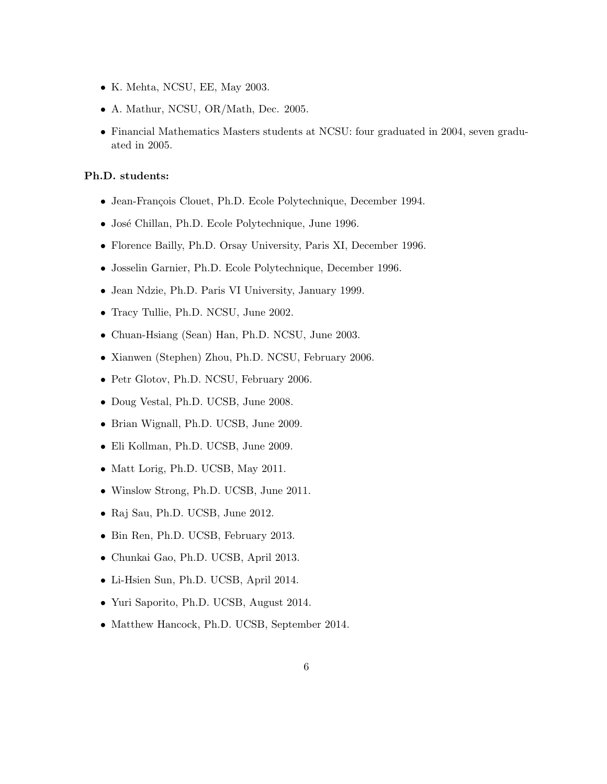- K. Mehta, NCSU, EE, May 2003.
- A. Mathur, NCSU, OR/Math, Dec. 2005.
- Financial Mathematics Masters students at NCSU: four graduated in 2004, seven graduated in 2005.

## Ph.D. students:

- Jean-François Clouet, Ph.D. Ecole Polytechnique, December 1994.
- José Chillan, Ph.D. Ecole Polytechnique, June 1996.
- Florence Bailly, Ph.D. Orsay University, Paris XI, December 1996.
- Josselin Garnier, Ph.D. Ecole Polytechnique, December 1996.
- Jean Ndzie, Ph.D. Paris VI University, January 1999.
- Tracy Tullie, Ph.D. NCSU, June 2002.
- Chuan-Hsiang (Sean) Han, Ph.D. NCSU, June 2003.
- Xianwen (Stephen) Zhou, Ph.D. NCSU, February 2006.
- Petr Glotov, Ph.D. NCSU, February 2006.
- Doug Vestal, Ph.D. UCSB, June 2008.
- Brian Wignall, Ph.D. UCSB, June 2009.
- Eli Kollman, Ph.D. UCSB, June 2009.
- Matt Lorig, Ph.D. UCSB, May 2011.
- Winslow Strong, Ph.D. UCSB, June 2011.
- Raj Sau, Ph.D. UCSB, June 2012.
- Bin Ren, Ph.D. UCSB, February 2013.
- Chunkai Gao, Ph.D. UCSB, April 2013.
- Li-Hsien Sun, Ph.D. UCSB, April 2014.
- Yuri Saporito, Ph.D. UCSB, August 2014.
- Matthew Hancock, Ph.D. UCSB, September 2014.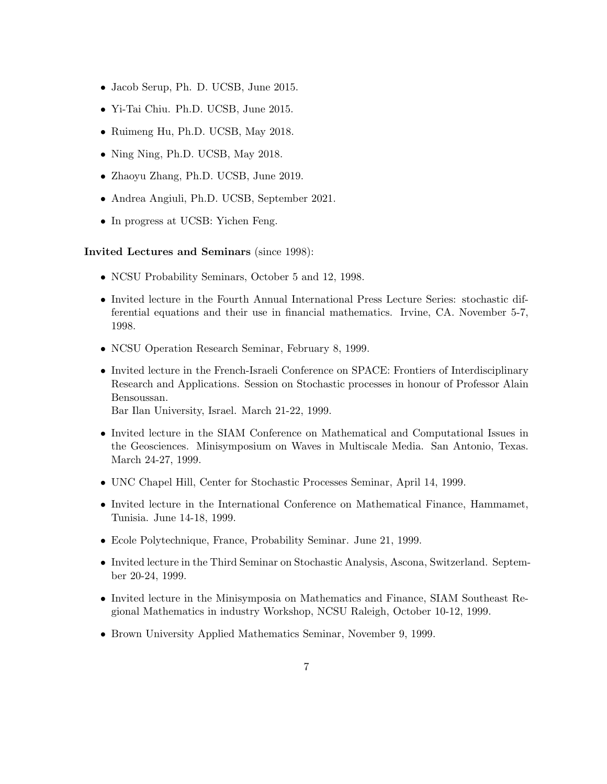- Jacob Serup, Ph. D. UCSB, June 2015.
- Yi-Tai Chiu. Ph.D. UCSB, June 2015.
- Ruimeng Hu, Ph.D. UCSB, May 2018.
- Ning Ning, Ph.D. UCSB, May 2018.
- Zhaoyu Zhang, Ph.D. UCSB, June 2019.
- Andrea Angiuli, Ph.D. UCSB, September 2021.
- In progress at UCSB: Yichen Feng.

Invited Lectures and Seminars (since 1998):

- NCSU Probability Seminars, October 5 and 12, 1998.
- Invited lecture in the Fourth Annual International Press Lecture Series: stochastic differential equations and their use in financial mathematics. Irvine, CA. November 5-7, 1998.
- NCSU Operation Research Seminar, February 8, 1999.
- Invited lecture in the French-Israeli Conference on SPACE: Frontiers of Interdisciplinary Research and Applications. Session on Stochastic processes in honour of Professor Alain Bensoussan.

Bar Ilan University, Israel. March 21-22, 1999.

- Invited lecture in the SIAM Conference on Mathematical and Computational Issues in the Geosciences. Minisymposium on Waves in Multiscale Media. San Antonio, Texas. March 24-27, 1999.
- UNC Chapel Hill, Center for Stochastic Processes Seminar, April 14, 1999.
- Invited lecture in the International Conference on Mathematical Finance, Hammamet, Tunisia. June 14-18, 1999.
- Ecole Polytechnique, France, Probability Seminar. June 21, 1999.
- Invited lecture in the Third Seminar on Stochastic Analysis, Ascona, Switzerland. September 20-24, 1999.
- Invited lecture in the Minisymposia on Mathematics and Finance, SIAM Southeast Regional Mathematics in industry Workshop, NCSU Raleigh, October 10-12, 1999.
- Brown University Applied Mathematics Seminar, November 9, 1999.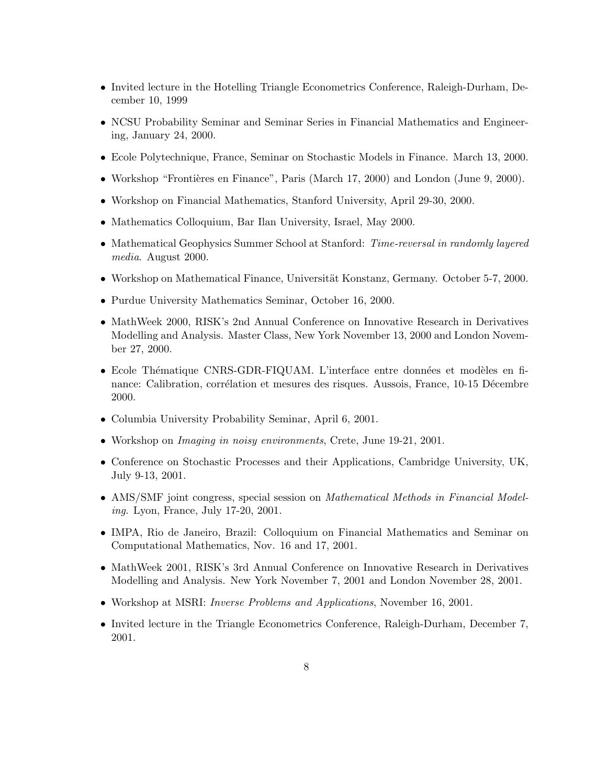- Invited lecture in the Hotelling Triangle Econometrics Conference, Raleigh-Durham, December 10, 1999
- NCSU Probability Seminar and Seminar Series in Financial Mathematics and Engineering, January 24, 2000.
- Ecole Polytechnique, France, Seminar on Stochastic Models in Finance. March 13, 2000.
- Workshop "Frontières en Finance", Paris (March 17, 2000) and London (June 9, 2000).
- Workshop on Financial Mathematics, Stanford University, April 29-30, 2000.
- Mathematics Colloquium, Bar Ilan University, Israel, May 2000.
- Mathematical Geophysics Summer School at Stanford: Time-reversal in randomly layered media. August 2000.
- Workshop on Mathematical Finance, Universität Konstanz, Germany. October 5-7, 2000.
- Purdue University Mathematics Seminar, October 16, 2000.
- MathWeek 2000, RISK's 2nd Annual Conference on Innovative Research in Derivatives Modelling and Analysis. Master Class, New York November 13, 2000 and London November 27, 2000.
- Ecole Thématique CNRS-GDR-FIQUAM. L'interface entre données et modèles en finance: Calibration, corrélation et mesures des risques. Aussois, France, 10-15 Décembre 2000.
- Columbia University Probability Seminar, April 6, 2001.
- Workshop on *Imaging in noisy environments*, Crete, June 19-21, 2001.
- Conference on Stochastic Processes and their Applications, Cambridge University, UK, July 9-13, 2001.
- AMS/SMF joint congress, special session on *Mathematical Methods in Financial Model*ing. Lyon, France, July 17-20, 2001.
- IMPA, Rio de Janeiro, Brazil: Colloquium on Financial Mathematics and Seminar on Computational Mathematics, Nov. 16 and 17, 2001.
- MathWeek 2001, RISK's 3rd Annual Conference on Innovative Research in Derivatives Modelling and Analysis. New York November 7, 2001 and London November 28, 2001.
- Workshop at MSRI: *Inverse Problems and Applications*, November 16, 2001.
- Invited lecture in the Triangle Econometrics Conference, Raleigh-Durham, December 7, 2001.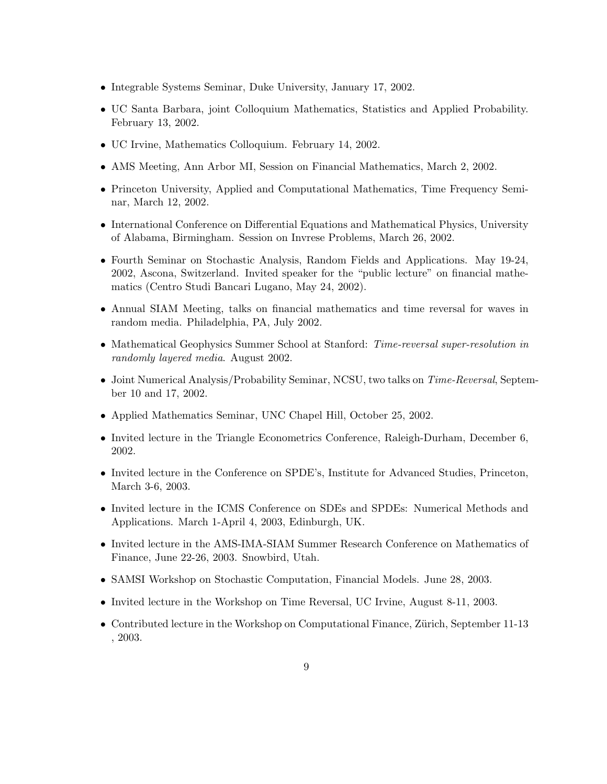- Integrable Systems Seminar, Duke University, January 17, 2002.
- UC Santa Barbara, joint Colloquium Mathematics, Statistics and Applied Probability. February 13, 2002.
- UC Irvine, Mathematics Colloquium. February 14, 2002.
- AMS Meeting, Ann Arbor MI, Session on Financial Mathematics, March 2, 2002.
- Princeton University, Applied and Computational Mathematics, Time Frequency Seminar, March 12, 2002.
- International Conference on Differential Equations and Mathematical Physics, University of Alabama, Birmingham. Session on Invrese Problems, March 26, 2002.
- Fourth Seminar on Stochastic Analysis, Random Fields and Applications. May 19-24, 2002, Ascona, Switzerland. Invited speaker for the "public lecture" on financial mathematics (Centro Studi Bancari Lugano, May 24, 2002).
- Annual SIAM Meeting, talks on financial mathematics and time reversal for waves in random media. Philadelphia, PA, July 2002.
- Mathematical Geophysics Summer School at Stanford: Time-reversal super-resolution in randomly layered media. August 2002.
- Joint Numerical Analysis/Probability Seminar, NCSU, two talks on Time-Reversal, September 10 and 17, 2002.
- Applied Mathematics Seminar, UNC Chapel Hill, October 25, 2002.
- Invited lecture in the Triangle Econometrics Conference, Raleigh-Durham, December 6, 2002.
- Invited lecture in the Conference on SPDE's, Institute for Advanced Studies, Princeton, March 3-6, 2003.
- Invited lecture in the ICMS Conference on SDEs and SPDEs: Numerical Methods and Applications. March 1-April 4, 2003, Edinburgh, UK.
- Invited lecture in the AMS-IMA-SIAM Summer Research Conference on Mathematics of Finance, June 22-26, 2003. Snowbird, Utah.
- SAMSI Workshop on Stochastic Computation, Financial Models. June 28, 2003.
- Invited lecture in the Workshop on Time Reversal, UC Irvine, August 8-11, 2003.
- Contributed lecture in the Workshop on Computational Finance, Zürich, September 11-13 , 2003.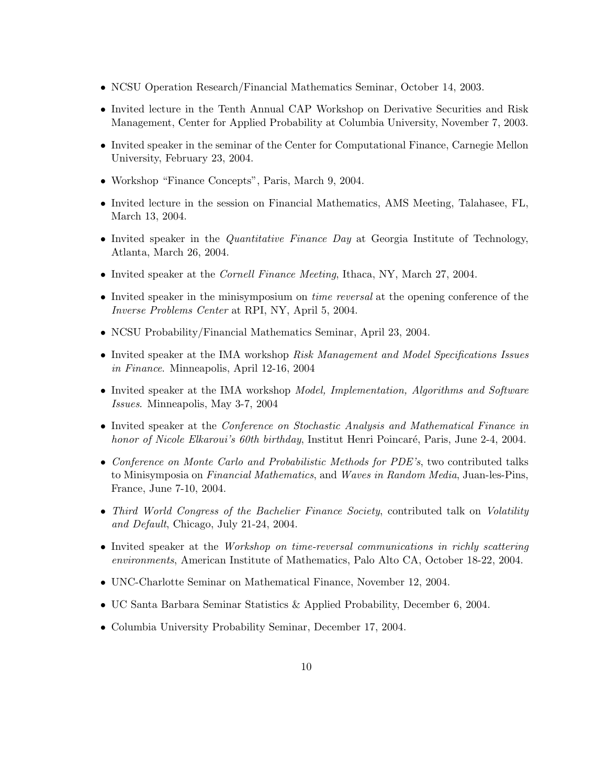- NCSU Operation Research/Financial Mathematics Seminar, October 14, 2003.
- Invited lecture in the Tenth Annual CAP Workshop on Derivative Securities and Risk Management, Center for Applied Probability at Columbia University, November 7, 2003.
- Invited speaker in the seminar of the Center for Computational Finance, Carnegie Mellon University, February 23, 2004.
- Workshop "Finance Concepts", Paris, March 9, 2004.
- Invited lecture in the session on Financial Mathematics, AMS Meeting, Talahasee, FL, March 13, 2004.
- Invited speaker in the *Quantitative Finance Day* at Georgia Institute of Technology, Atlanta, March 26, 2004.
- Invited speaker at the *Cornell Finance Meeting*, Ithaca, NY, March 27, 2004.
- Invited speaker in the minisymposium on *time reversal* at the opening conference of the Inverse Problems Center at RPI, NY, April 5, 2004.
- NCSU Probability/Financial Mathematics Seminar, April 23, 2004.
- Invited speaker at the IMA workshop Risk Management and Model Specifications Issues in Finance. Minneapolis, April 12-16, 2004
- Invited speaker at the IMA workshop *Model, Implementation, Algorithms and Software* Issues. Minneapolis, May 3-7, 2004
- Invited speaker at the Conference on Stochastic Analysis and Mathematical Finance in honor of Nicole Elkaroui's 60th birthday, Institut Henri Poincaré, Paris, June 2-4, 2004.
- Conference on Monte Carlo and Probabilistic Methods for PDE's, two contributed talks to Minisymposia on Financial Mathematics, and Waves in Random Media, Juan-les-Pins, France, June 7-10, 2004.
- Third World Congress of the Bachelier Finance Society, contributed talk on Volatility and Default, Chicago, July 21-24, 2004.
- Invited speaker at the Workshop on time-reversal communications in richly scattering environments, American Institute of Mathematics, Palo Alto CA, October 18-22, 2004.
- UNC-Charlotte Seminar on Mathematical Finance, November 12, 2004.
- UC Santa Barbara Seminar Statistics & Applied Probability, December 6, 2004.
- Columbia University Probability Seminar, December 17, 2004.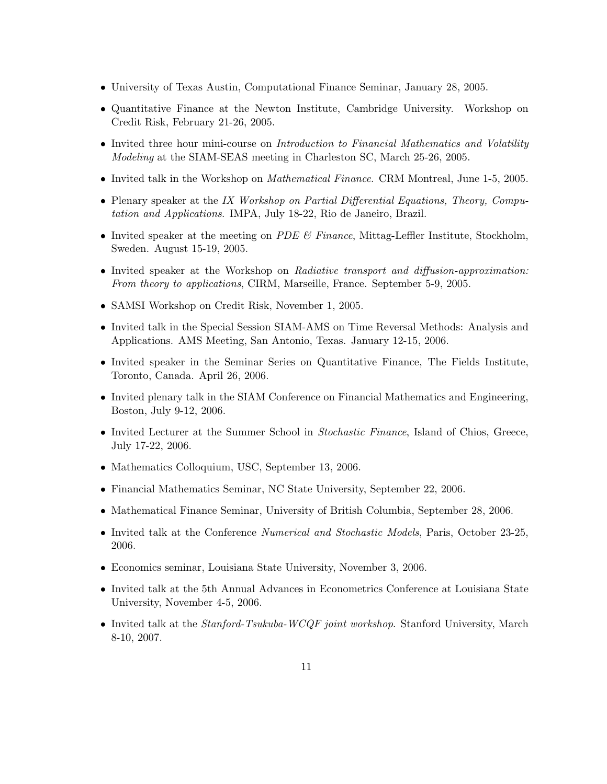- University of Texas Austin, Computational Finance Seminar, January 28, 2005.
- Quantitative Finance at the Newton Institute, Cambridge University. Workshop on Credit Risk, February 21-26, 2005.
- Invited three hour mini-course on *Introduction to Financial Mathematics and Volatility* Modeling at the SIAM-SEAS meeting in Charleston SC, March 25-26, 2005.
- Invited talk in the Workshop on *Mathematical Finance*. CRM Montreal, June 1-5, 2005.
- Plenary speaker at the IX Workshop on Partial Differential Equations, Theory, Computation and Applications. IMPA, July 18-22, Rio de Janeiro, Brazil.
- Invited speaker at the meeting on PDE  $\mathcal{C}$  Finance, Mittag-Leffler Institute, Stockholm, Sweden. August 15-19, 2005.
- Invited speaker at the Workshop on Radiative transport and diffusion-approximation: From theory to applications, CIRM, Marseille, France. September 5-9, 2005.
- SAMSI Workshop on Credit Risk, November 1, 2005.
- Invited talk in the Special Session SIAM-AMS on Time Reversal Methods: Analysis and Applications. AMS Meeting, San Antonio, Texas. January 12-15, 2006.
- Invited speaker in the Seminar Series on Quantitative Finance, The Fields Institute, Toronto, Canada. April 26, 2006.
- Invited plenary talk in the SIAM Conference on Financial Mathematics and Engineering, Boston, July 9-12, 2006.
- Invited Lecturer at the Summer School in *Stochastic Finance*, Island of Chios, Greece, July 17-22, 2006.
- Mathematics Colloquium, USC, September 13, 2006.
- Financial Mathematics Seminar, NC State University, September 22, 2006.
- Mathematical Finance Seminar, University of British Columbia, September 28, 2006.
- Invited talk at the Conference Numerical and Stochastic Models, Paris, October 23-25, 2006.
- Economics seminar, Louisiana State University, November 3, 2006.
- Invited talk at the 5th Annual Advances in Econometrics Conference at Louisiana State University, November 4-5, 2006.
- Invited talk at the *Stanford-Tsukuba-WCQF joint workshop*. Stanford University, March 8-10, 2007.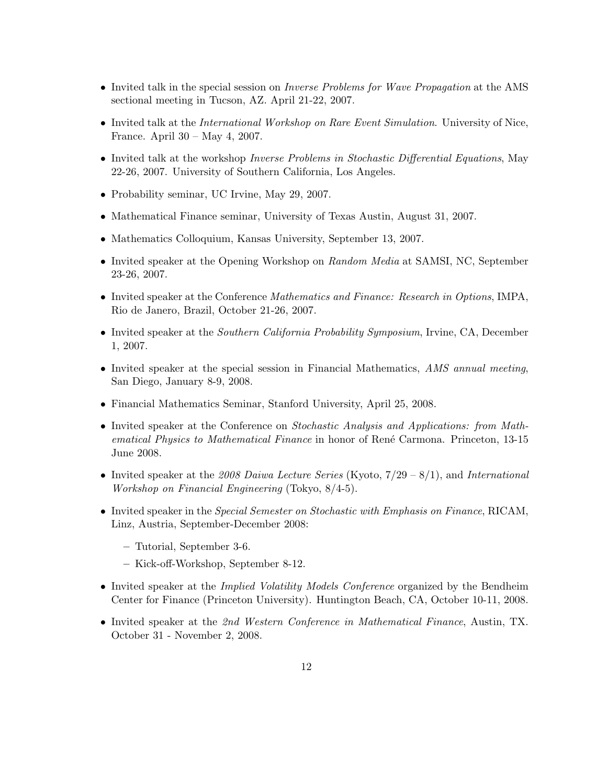- Invited talk in the special session on *Inverse Problems for Wave Propagation* at the AMS sectional meeting in Tucson, AZ. April 21-22, 2007.
- Invited talk at the *International Workshop on Rare Event Simulation*. University of Nice, France. April 30 – May 4, 2007.
- Invited talk at the workshop *Inverse Problems in Stochastic Differential Equations*, May 22-26, 2007. University of Southern California, Los Angeles.
- Probability seminar, UC Irvine, May 29, 2007.
- Mathematical Finance seminar, University of Texas Austin, August 31, 2007.
- Mathematics Colloquium, Kansas University, September 13, 2007.
- Invited speaker at the Opening Workshop on Random Media at SAMSI, NC, September 23-26, 2007.
- Invited speaker at the Conference Mathematics and Finance: Research in Options, IMPA, Rio de Janero, Brazil, October 21-26, 2007.
- Invited speaker at the Southern California Probability Symposium, Irvine, CA, December 1, 2007.
- Invited speaker at the special session in Financial Mathematics, AMS annual meeting, San Diego, January 8-9, 2008.
- Financial Mathematics Seminar, Stanford University, April 25, 2008.
- Invited speaker at the Conference on Stochastic Analysis and Applications: from Mathematical Physics to Mathematical Finance in honor of René Carmona. Princeton, 13-15 June 2008.
- Invited speaker at the 2008 Daiwa Lecture Series (Kyoto,  $7/29 8/1$ ), and International Workshop on Financial Engineering (Tokyo, 8/4-5).
- Invited speaker in the Special Semester on Stochastic with Emphasis on Finance, RICAM, Linz, Austria, September-December 2008:
	- Tutorial, September 3-6.
	- Kick-off-Workshop, September 8-12.
- Invited speaker at the *Implied Volatility Models Conference* organized by the Bendheim Center for Finance (Princeton University). Huntington Beach, CA, October 10-11, 2008.
- Invited speaker at the 2nd Western Conference in Mathematical Finance, Austin, TX. October 31 - November 2, 2008.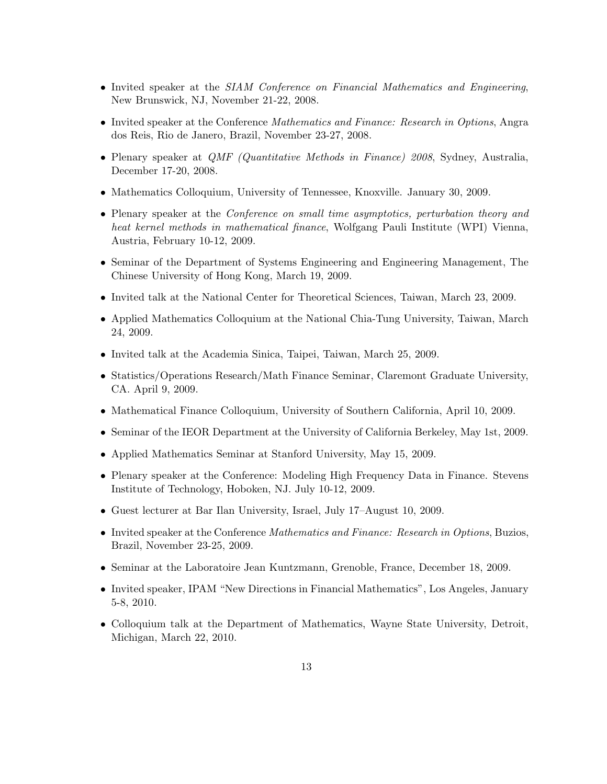- Invited speaker at the SIAM Conference on Financial Mathematics and Engineering, New Brunswick, NJ, November 21-22, 2008.
- Invited speaker at the Conference *Mathematics and Finance: Research in Options*, Angra dos Reis, Rio de Janero, Brazil, November 23-27, 2008.
- Plenary speaker at *QMF (Quantitative Methods in Finance) 2008*, Sydney, Australia, December 17-20, 2008.
- Mathematics Colloquium, University of Tennessee, Knoxville. January 30, 2009.
- Plenary speaker at the *Conference on small time asymptotics, perturbation theory and* heat kernel methods in mathematical finance, Wolfgang Pauli Institute (WPI) Vienna, Austria, February 10-12, 2009.
- Seminar of the Department of Systems Engineering and Engineering Management, The Chinese University of Hong Kong, March 19, 2009.
- Invited talk at the National Center for Theoretical Sciences, Taiwan, March 23, 2009.
- Applied Mathematics Colloquium at the National Chia-Tung University, Taiwan, March 24, 2009.
- Invited talk at the Academia Sinica, Taipei, Taiwan, March 25, 2009.
- Statistics/Operations Research/Math Finance Seminar, Claremont Graduate University, CA. April 9, 2009.
- Mathematical Finance Colloquium, University of Southern California, April 10, 2009.
- Seminar of the IEOR Department at the University of California Berkeley, May 1st, 2009.
- Applied Mathematics Seminar at Stanford University, May 15, 2009.
- Plenary speaker at the Conference: Modeling High Frequency Data in Finance. Stevens Institute of Technology, Hoboken, NJ. July 10-12, 2009.
- Guest lecturer at Bar Ilan University, Israel, July 17–August 10, 2009.
- Invited speaker at the Conference Mathematics and Finance: Research in Options, Buzios, Brazil, November 23-25, 2009.
- Seminar at the Laboratoire Jean Kuntzmann, Grenoble, France, December 18, 2009.
- Invited speaker, IPAM "New Directions in Financial Mathematics", Los Angeles, January 5-8, 2010.
- Colloquium talk at the Department of Mathematics, Wayne State University, Detroit, Michigan, March 22, 2010.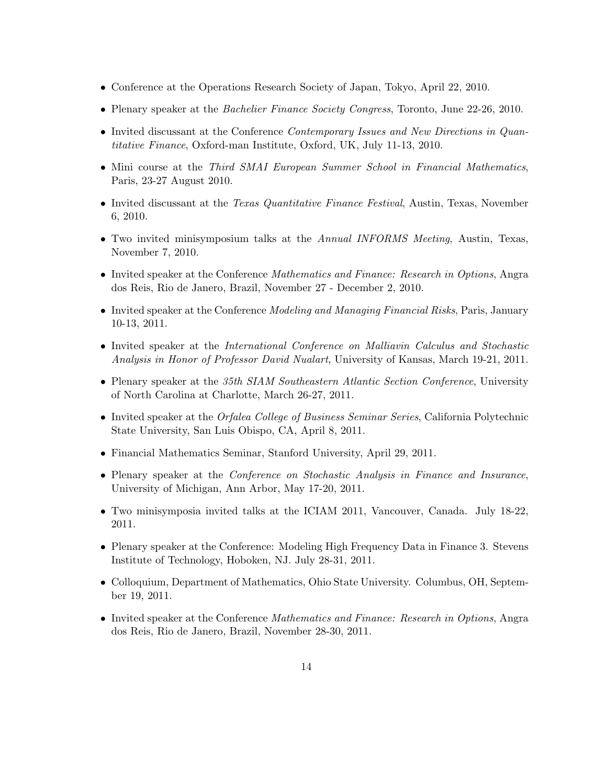- Conference at the Operations Research Society of Japan, Tokyo, April 22, 2010.
- Plenary speaker at the *Bachelier Finance Society Congress*, Toronto, June 22-26, 2010.
- Invited discussant at the Conference Contemporary Issues and New Directions in Quantitative Finance, Oxford-man Institute, Oxford, UK, July 11-13, 2010.
- Mini course at the Third SMAI European Summer School in Financial Mathematics, Paris, 23-27 August 2010.
- Invited discussant at the *Texas Quantitative Finance Festival*, Austin, Texas, November 6, 2010.
- Two invited minisymposium talks at the Annual INFORMS Meeting, Austin, Texas, November 7, 2010.
- Invited speaker at the Conference Mathematics and Finance: Research in Options, Angra dos Reis, Rio de Janero, Brazil, November 27 - December 2, 2010.
- Invited speaker at the Conference *Modeling and Managing Financial Risks*, Paris, January 10-13, 2011.
- Invited speaker at the *International Conference on Malliavin Calculus and Stochastic* Analysis in Honor of Professor David Nualart, University of Kansas, March 19-21, 2011.
- Plenary speaker at the 35th SIAM Southeastern Atlantic Section Conference, University of North Carolina at Charlotte, March 26-27, 2011.
- Invited speaker at the *Orfalea College of Business Seminar Series*, California Polytechnic State University, San Luis Obispo, CA, April 8, 2011.
- Financial Mathematics Seminar, Stanford University, April 29, 2011.
- Plenary speaker at the *Conference on Stochastic Analysis in Finance and Insurance*, University of Michigan, Ann Arbor, May 17-20, 2011.
- Two minisymposia invited talks at the ICIAM 2011, Vancouver, Canada. July 18-22, 2011.
- Plenary speaker at the Conference: Modeling High Frequency Data in Finance 3. Stevens Institute of Technology, Hoboken, NJ. July 28-31, 2011.
- Colloquium, Department of Mathematics, Ohio State University. Columbus, OH, September 19, 2011.
- Invited speaker at the Conference *Mathematics and Finance: Research in Options*, Angra dos Reis, Rio de Janero, Brazil, November 28-30, 2011.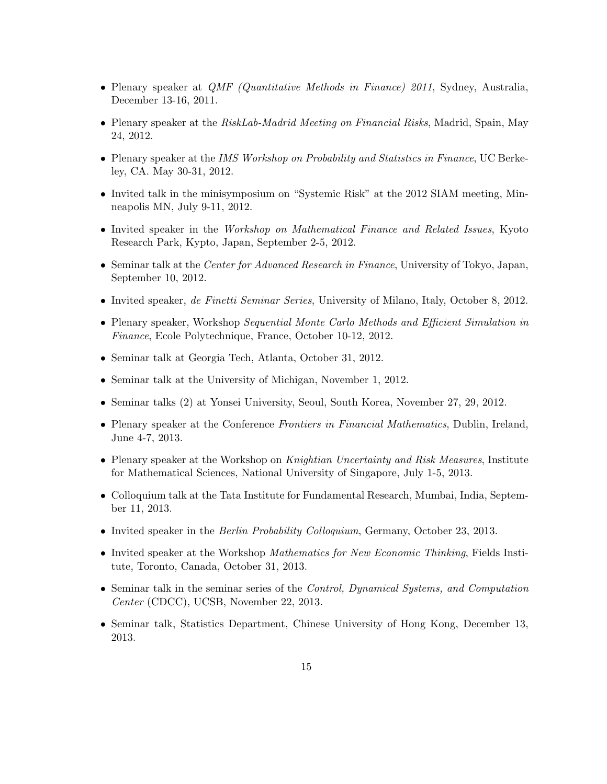- Plenary speaker at *QMF (Quantitative Methods in Finance) 2011*, Sydney, Australia, December 13-16, 2011.
- Plenary speaker at the RiskLab-Madrid Meeting on Financial Risks, Madrid, Spain, May 24, 2012.
- Plenary speaker at the IMS Workshop on Probability and Statistics in Finance, UC Berkeley, CA. May 30-31, 2012.
- Invited talk in the minisymposium on "Systemic Risk" at the 2012 SIAM meeting, Minneapolis MN, July 9-11, 2012.
- Invited speaker in the Workshop on Mathematical Finance and Related Issues, Kyoto Research Park, Kypto, Japan, September 2-5, 2012.
- Seminar talk at the Center for Advanced Research in Finance, University of Tokyo, Japan, September 10, 2012.
- Invited speaker, de Finetti Seminar Series, University of Milano, Italy, October 8, 2012.
- Plenary speaker, Workshop Sequential Monte Carlo Methods and Efficient Simulation in Finance, Ecole Polytechnique, France, October 10-12, 2012.
- Seminar talk at Georgia Tech, Atlanta, October 31, 2012.
- Seminar talk at the University of Michigan, November 1, 2012.
- Seminar talks (2) at Yonsei University, Seoul, South Korea, November 27, 29, 2012.
- Plenary speaker at the Conference Frontiers in Financial Mathematics, Dublin, Ireland, June 4-7, 2013.
- Plenary speaker at the Workshop on Knightian Uncertainty and Risk Measures, Institute for Mathematical Sciences, National University of Singapore, July 1-5, 2013.
- Colloquium talk at the Tata Institute for Fundamental Research, Mumbai, India, September 11, 2013.
- Invited speaker in the *Berlin Probability Colloquium*, Germany, October 23, 2013.
- Invited speaker at the Workshop *Mathematics for New Economic Thinking*, Fields Institute, Toronto, Canada, October 31, 2013.
- Seminar talk in the seminar series of the Control, Dynamical Systems, and Computation Center (CDCC), UCSB, November 22, 2013.
- Seminar talk, Statistics Department, Chinese University of Hong Kong, December 13, 2013.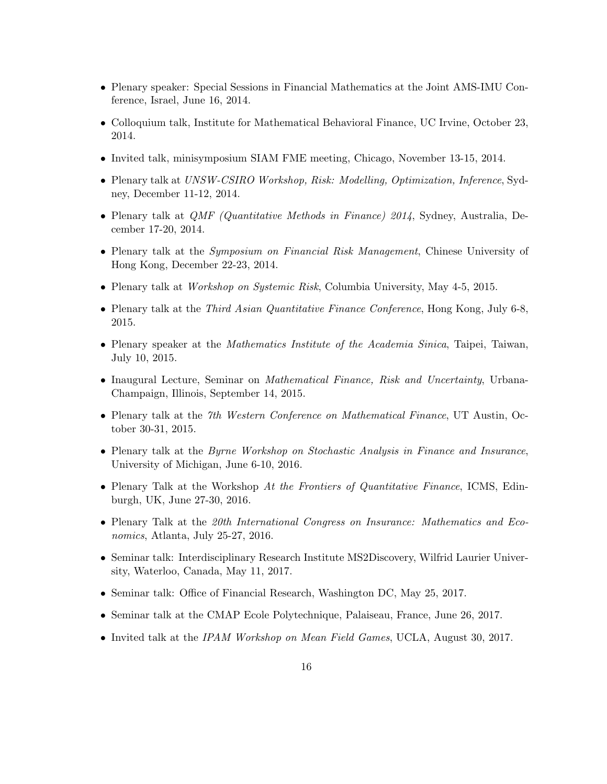- Plenary speaker: Special Sessions in Financial Mathematics at the Joint AMS-IMU Conference, Israel, June 16, 2014.
- Colloquium talk, Institute for Mathematical Behavioral Finance, UC Irvine, October 23, 2014.
- Invited talk, minisymposium SIAM FME meeting, Chicago, November 13-15, 2014.
- Plenary talk at UNSW-CSIRO Workshop, Risk: Modelling, Optimization, Inference, Sydney, December 11-12, 2014.
- Plenary talk at *QMF (Quantitative Methods in Finance) 2014*, Sydney, Australia, December 17-20, 2014.
- Plenary talk at the *Symposium on Financial Risk Management*, Chinese University of Hong Kong, December 22-23, 2014.
- Plenary talk at *Workshop on Systemic Risk*, Columbia University, May 4-5, 2015.
- Plenary talk at the *Third Asian Quantitative Finance Conference*, Hong Kong, July 6-8, 2015.
- Plenary speaker at the *Mathematics Institute of the Academia Sinica*, Taipei, Taiwan, July 10, 2015.
- Inaugural Lecture, Seminar on Mathematical Finance, Risk and Uncertainty, Urbana-Champaign, Illinois, September 14, 2015.
- Plenary talk at the 7th Western Conference on Mathematical Finance, UT Austin, October 30-31, 2015.
- Plenary talk at the Byrne Workshop on Stochastic Analysis in Finance and Insurance, University of Michigan, June 6-10, 2016.
- Plenary Talk at the Workshop At the Frontiers of Quantitative Finance, ICMS, Edinburgh, UK, June 27-30, 2016.
- Plenary Talk at the 20th International Congress on Insurance: Mathematics and Economics, Atlanta, July 25-27, 2016.
- Seminar talk: Interdisciplinary Research Institute MS2Discovery, Wilfrid Laurier University, Waterloo, Canada, May 11, 2017.
- Seminar talk: Office of Financial Research, Washington DC, May 25, 2017.
- Seminar talk at the CMAP Ecole Polytechnique, Palaiseau, France, June 26, 2017.
- Invited talk at the IPAM Workshop on Mean Field Games, UCLA, August 30, 2017.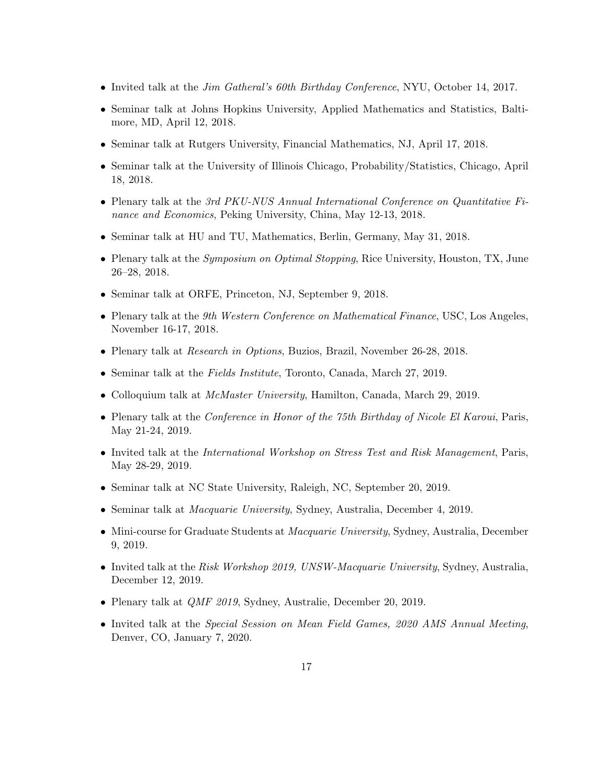- Invited talk at the *Jim Gatheral's 60th Birthday Conference*, NYU, October 14, 2017.
- Seminar talk at Johns Hopkins University, Applied Mathematics and Statistics, Baltimore, MD, April 12, 2018.
- Seminar talk at Rutgers University, Financial Mathematics, NJ, April 17, 2018.
- Seminar talk at the University of Illinois Chicago, Probability/Statistics, Chicago, April 18, 2018.
- Plenary talk at the 3rd PKU-NUS Annual International Conference on Quantitative Finance and Economics, Peking University, China, May 12-13, 2018.
- Seminar talk at HU and TU, Mathematics, Berlin, Germany, May 31, 2018.
- Plenary talk at the *Symposium on Optimal Stopping*, Rice University, Houston, TX, June 26–28, 2018.
- Seminar talk at ORFE, Princeton, NJ, September 9, 2018.
- Plenary talk at the 9th Western Conference on Mathematical Finance, USC, Los Angeles, November 16-17, 2018.
- Plenary talk at Research in Options, Buzios, Brazil, November 26-28, 2018.
- Seminar talk at the Fields Institute, Toronto, Canada, March 27, 2019.
- Colloquium talk at McMaster University, Hamilton, Canada, March 29, 2019.
- Plenary talk at the Conference in Honor of the 75th Birthday of Nicole El Karoui, Paris, May 21-24, 2019.
- Invited talk at the International Workshop on Stress Test and Risk Management, Paris, May 28-29, 2019.
- Seminar talk at NC State University, Raleigh, NC, September 20, 2019.
- Seminar talk at Macquarie University, Sydney, Australia, December 4, 2019.
- Mini-course for Graduate Students at *Macquarie University*, Sydney, Australia, December 9, 2019.
- Invited talk at the Risk Workshop 2019, UNSW-Macquarie University, Sydney, Australia, December 12, 2019.
- Plenary talk at QMF 2019, Sydney, Australie, December 20, 2019.
- Invited talk at the Special Session on Mean Field Games, 2020 AMS Annual Meeting, Denver, CO, January 7, 2020.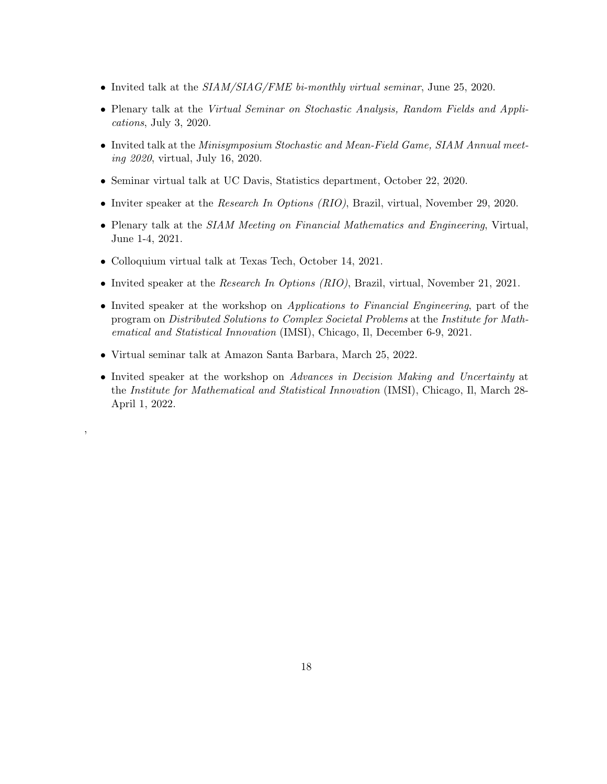- Invited talk at the  $SIAM/SIAG/FME$  bi-monthly virtual seminar, June 25, 2020.
- Plenary talk at the Virtual Seminar on Stochastic Analysis, Random Fields and Applications, July 3, 2020.
- Invited talk at the Minisymposium Stochastic and Mean-Field Game, SIAM Annual meeting 2020, virtual, July 16, 2020.
- Seminar virtual talk at UC Davis, Statistics department, October 22, 2020.
- Inviter speaker at the *Research In Options (RIO)*, Brazil, virtual, November 29, 2020.
- Plenary talk at the SIAM Meeting on Financial Mathematics and Engineering, Virtual, June 1-4, 2021.
- Colloquium virtual talk at Texas Tech, October 14, 2021.
- Invited speaker at the *Research In Options (RIO)*, Brazil, virtual, November 21, 2021.
- Invited speaker at the workshop on *Applications to Financial Engineering*, part of the program on Distributed Solutions to Complex Societal Problems at the Institute for Mathematical and Statistical Innovation (IMSI), Chicago, Il, December 6-9, 2021.
- Virtual seminar talk at Amazon Santa Barbara, March 25, 2022.

,

• Invited speaker at the workshop on Advances in Decision Making and Uncertainty at the Institute for Mathematical and Statistical Innovation (IMSI), Chicago, Il, March 28- April 1, 2022.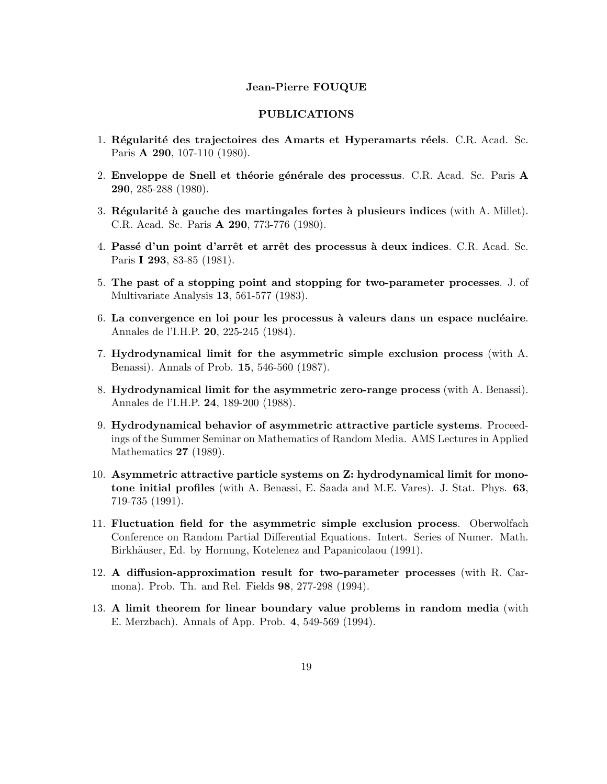#### Jean-Pierre FOUQUE

### PUBLICATIONS

- 1. Régularité des trajectoires des Amarts et Hyperamarts réels. C.R. Acad. Sc. Paris A 290, 107-110 (1980).
- 2. Enveloppe de Snell et théorie générale des processus. C.R. Acad. Sc. Paris A 290, 285-288 (1980).
- 3. Régularité à gauche des martingales fortes à plusieurs indices (with  $A$ . Millet). C.R. Acad. Sc. Paris A 290, 773-776 (1980).
- 4. Passé d'un point d'arrêt et arrêt des processus à deux indices. C.R. Acad. Sc. Paris I 293, 83-85 (1981).
- 5. The past of a stopping point and stopping for two-parameter processes. J. of Multivariate Analysis 13, 561-577 (1983).
- $6.$  La convergence en loi pour les processus à valeurs dans un espace nucléaire. Annales de l'I.H.P. 20, 225-245 (1984).
- 7. Hydrodynamical limit for the asymmetric simple exclusion process (with A. Benassi). Annals of Prob. 15, 546-560 (1987).
- 8. Hydrodynamical limit for the asymmetric zero-range process (with A. Benassi). Annales de l'I.H.P. 24, 189-200 (1988).
- 9. Hydrodynamical behavior of asymmetric attractive particle systems. Proceedings of the Summer Seminar on Mathematics of Random Media. AMS Lectures in Applied Mathematics 27 (1989).
- 10. Asymmetric attractive particle systems on Z: hydrodynamical limit for monotone initial profiles (with A. Benassi, E. Saada and M.E. Vares). J. Stat. Phys. 63, 719-735 (1991).
- 11. Fluctuation field for the asymmetric simple exclusion process. Oberwolfach Conference on Random Partial Differential Equations. Intert. Series of Numer. Math. Birkhäuser, Ed. by Hornung, Kotelenez and Papanicolaou (1991).
- 12. A diffusion-approximation result for two-parameter processes (with R. Carmona). Prob. Th. and Rel. Fields 98, 277-298 (1994).
- 13. A limit theorem for linear boundary value problems in random media (with E. Merzbach). Annals of App. Prob. 4, 549-569 (1994).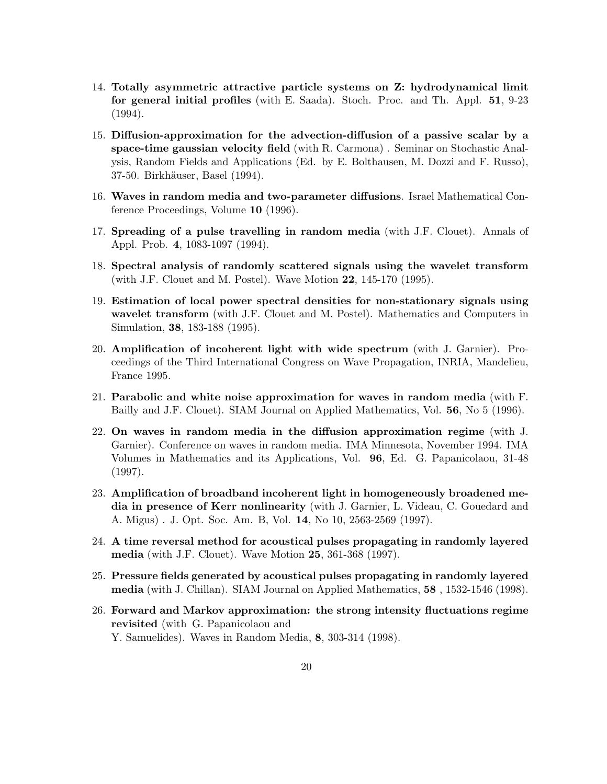- 14. Totally asymmetric attractive particle systems on Z: hydrodynamical limit for general initial profiles (with E. Saada). Stoch. Proc. and Th. Appl. 51, 9-23 (1994).
- 15. Diffusion-approximation for the advection-diffusion of a passive scalar by a space-time gaussian velocity field (with R. Carmona) . Seminar on Stochastic Analysis, Random Fields and Applications (Ed. by E. Bolthausen, M. Dozzi and F. Russo), 37-50. Birkhäuser, Basel (1994).
- 16. Waves in random media and two-parameter diffusions. Israel Mathematical Conference Proceedings, Volume 10 (1996).
- 17. Spreading of a pulse travelling in random media (with J.F. Clouet). Annals of Appl. Prob. 4, 1083-1097 (1994).
- 18. Spectral analysis of randomly scattered signals using the wavelet transform (with J.F. Clouet and M. Postel). Wave Motion 22, 145-170 (1995).
- 19. Estimation of local power spectral densities for non-stationary signals using wavelet transform (with J.F. Clouet and M. Postel). Mathematics and Computers in Simulation, 38, 183-188 (1995).
- 20. Amplification of incoherent light with wide spectrum (with J. Garnier). Proceedings of the Third International Congress on Wave Propagation, INRIA, Mandelieu, France 1995.
- 21. Parabolic and white noise approximation for waves in random media (with F. Bailly and J.F. Clouet). SIAM Journal on Applied Mathematics, Vol. 56, No 5 (1996).
- 22. On waves in random media in the diffusion approximation regime (with J. Garnier). Conference on waves in random media. IMA Minnesota, November 1994. IMA Volumes in Mathematics and its Applications, Vol. 96, Ed. G. Papanicolaou, 31-48 (1997).
- 23. Amplification of broadband incoherent light in homogeneously broadened media in presence of Kerr nonlinearity (with J. Garnier, L. Videau, C. Gouedard and A. Migus) . J. Opt. Soc. Am. B, Vol. 14, No 10, 2563-2569 (1997).
- 24. A time reversal method for acoustical pulses propagating in randomly layered media (with J.F. Clouet). Wave Motion 25, 361-368 (1997).
- 25. Pressure fields generated by acoustical pulses propagating in randomly layered media (with J. Chillan). SIAM Journal on Applied Mathematics, 58 , 1532-1546 (1998).
- 26. Forward and Markov approximation: the strong intensity fluctuations regime revisited (with G. Papanicolaou and Y. Samuelides). Waves in Random Media, 8, 303-314 (1998).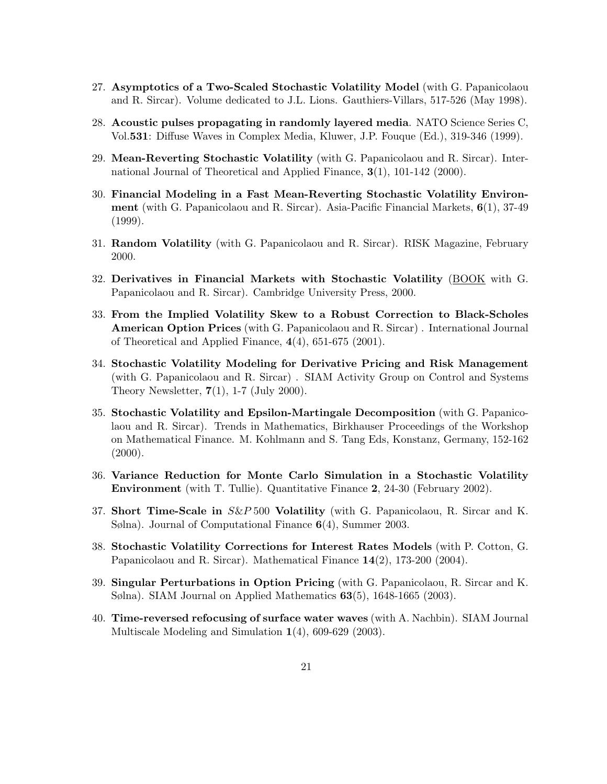- 27. Asymptotics of a Two-Scaled Stochastic Volatility Model (with G. Papanicolaou and R. Sircar). Volume dedicated to J.L. Lions. Gauthiers-Villars, 517-526 (May 1998).
- 28. Acoustic pulses propagating in randomly layered media. NATO Science Series C, Vol.531: Diffuse Waves in Complex Media, Kluwer, J.P. Fouque (Ed.), 319-346 (1999).
- 29. Mean-Reverting Stochastic Volatility (with G. Papanicolaou and R. Sircar). International Journal of Theoretical and Applied Finance, 3(1), 101-142 (2000).
- 30. Financial Modeling in a Fast Mean-Reverting Stochastic Volatility Environment (with G. Papanicolaou and R. Sircar). Asia-Pacific Financial Markets, 6(1), 37-49  $(1999)$ .
- 31. Random Volatility (with G. Papanicolaou and R. Sircar). RISK Magazine, February 2000.
- 32. Derivatives in Financial Markets with Stochastic Volatility (BOOK with G. Papanicolaou and R. Sircar). Cambridge University Press, 2000.
- 33. From the Implied Volatility Skew to a Robust Correction to Black-Scholes American Option Prices (with G. Papanicolaou and R. Sircar) . International Journal of Theoretical and Applied Finance,  $4(4)$ , 651-675 (2001).
- 34. Stochastic Volatility Modeling for Derivative Pricing and Risk Management (with G. Papanicolaou and R. Sircar) . SIAM Activity Group on Control and Systems Theory Newsletter,  $7(1)$ , 1-7 (July 2000).
- 35. Stochastic Volatility and Epsilon-Martingale Decomposition (with G. Papanicolaou and R. Sircar). Trends in Mathematics, Birkhauser Proceedings of the Workshop on Mathematical Finance. M. Kohlmann and S. Tang Eds, Konstanz, Germany, 152-162  $(2000).$
- 36. Variance Reduction for Monte Carlo Simulation in a Stochastic Volatility Environment (with T. Tullie). Quantitative Finance 2, 24-30 (February 2002).
- 37. Short Time-Scale in S&P 500 Volatility (with G. Papanicolaou, R. Sircar and K. Sølna). Journal of Computational Finance 6(4), Summer 2003.
- 38. Stochastic Volatility Corrections for Interest Rates Models (with P. Cotton, G. Papanicolaou and R. Sircar). Mathematical Finance 14(2), 173-200 (2004).
- 39. Singular Perturbations in Option Pricing (with G. Papanicolaou, R. Sircar and K. Sølna). SIAM Journal on Applied Mathematics 63(5), 1648-1665 (2003).
- 40. Time-reversed refocusing of surface water waves (with A. Nachbin). SIAM Journal Multiscale Modeling and Simulation 1(4), 609-629 (2003).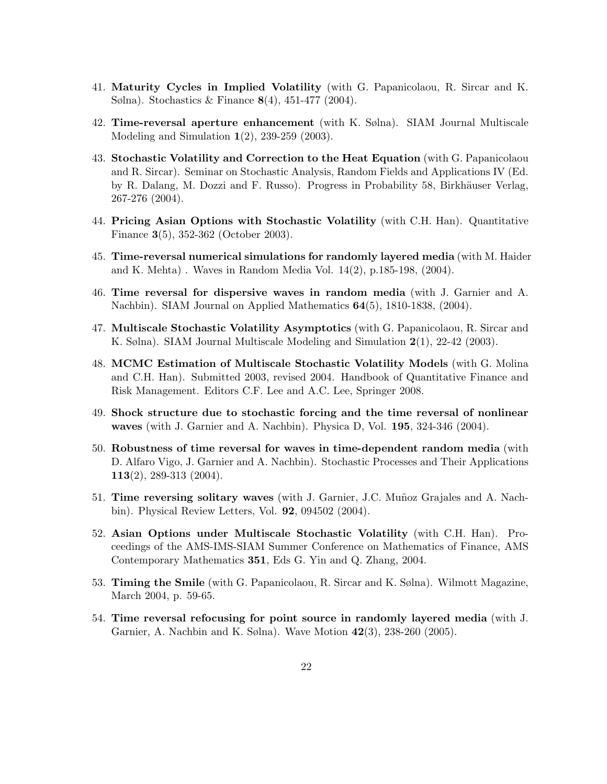- 41. Maturity Cycles in Implied Volatility (with G. Papanicolaou, R. Sircar and K. Sølna). Stochastics & Finance 8(4), 451-477 (2004).
- 42. Time-reversal aperture enhancement (with K. Sølna). SIAM Journal Multiscale Modeling and Simulation 1(2), 239-259 (2003).
- 43. Stochastic Volatility and Correction to the Heat Equation (with G. Papanicolaou and R. Sircar). Seminar on Stochastic Analysis, Random Fields and Applications IV (Ed. by R. Dalang, M. Dozzi and F. Russo). Progress in Probability 58, Birkhäuser Verlag, 267-276 (2004).
- 44. Pricing Asian Options with Stochastic Volatility (with C.H. Han). Quantitative Finance 3(5), 352-362 (October 2003).
- 45. Time-reversal numerical simulations for randomly layered media (with M. Haider and K. Mehta) . Waves in Random Media Vol. 14(2), p.185-198, (2004).
- 46. Time reversal for dispersive waves in random media (with J. Garnier and A. Nachbin). SIAM Journal on Applied Mathematics 64(5), 1810-1838, (2004).
- 47. Multiscale Stochastic Volatility Asymptotics (with G. Papanicolaou, R. Sircar and K. Sølna). SIAM Journal Multiscale Modeling and Simulation 2(1), 22-42 (2003).
- 48. MCMC Estimation of Multiscale Stochastic Volatility Models (with G. Molina and C.H. Han). Submitted 2003, revised 2004. Handbook of Quantitative Finance and Risk Management. Editors C.F. Lee and A.C. Lee, Springer 2008.
- 49. Shock structure due to stochastic forcing and the time reversal of nonlinear waves (with J. Garnier and A. Nachbin). Physica D, Vol. 195, 324-346 (2004).
- 50. Robustness of time reversal for waves in time-dependent random media (with D. Alfaro Vigo, J. Garnier and A. Nachbin). Stochastic Processes and Their Applications 113(2), 289-313 (2004).
- 51. Time reversing solitary waves (with J. Garnier, J.C. Muñoz Grajales and A. Nachbin). Physical Review Letters, Vol. 92, 094502 (2004).
- 52. Asian Options under Multiscale Stochastic Volatility (with C.H. Han). Proceedings of the AMS-IMS-SIAM Summer Conference on Mathematics of Finance, AMS Contemporary Mathematics 351, Eds G. Yin and Q. Zhang, 2004.
- 53. Timing the Smile (with G. Papanicolaou, R. Sircar and K. Sølna). Wilmott Magazine, March 2004, p. 59-65.
- 54. Time reversal refocusing for point source in randomly layered media (with J. Garnier, A. Nachbin and K. Sølna). Wave Motion 42(3), 238-260 (2005).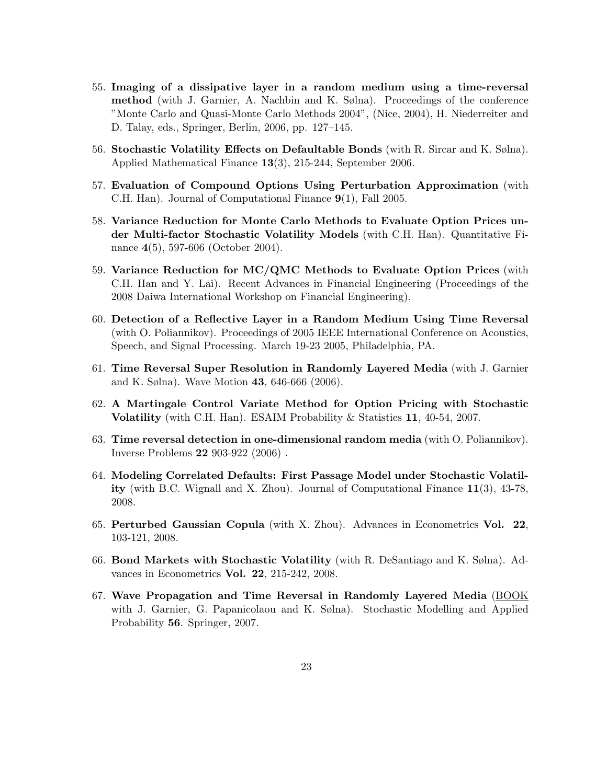- 55. Imaging of a dissipative layer in a random medium using a time-reversal method (with J. Garnier, A. Nachbin and K. Sølna). Proceedings of the conference "Monte Carlo and Quasi-Monte Carlo Methods 2004", (Nice, 2004), H. Niederreiter and D. Talay, eds., Springer, Berlin, 2006, pp. 127–145.
- 56. Stochastic Volatility Effects on Defaultable Bonds (with R. Sircar and K. Sølna). Applied Mathematical Finance 13(3), 215-244, September 2006.
- 57. Evaluation of Compound Options Using Perturbation Approximation (with C.H. Han). Journal of Computational Finance 9(1), Fall 2005.
- 58. Variance Reduction for Monte Carlo Methods to Evaluate Option Prices under Multi-factor Stochastic Volatility Models (with C.H. Han). Quantitative Finance 4(5), 597-606 (October 2004).
- 59. Variance Reduction for MC/QMC Methods to Evaluate Option Prices (with C.H. Han and Y. Lai). Recent Advances in Financial Engineering (Proceedings of the 2008 Daiwa International Workshop on Financial Engineering).
- 60. Detection of a Reflective Layer in a Random Medium Using Time Reversal (with O. Poliannikov). Proceedings of 2005 IEEE International Conference on Acoustics, Speech, and Signal Processing. March 19-23 2005, Philadelphia, PA.
- 61. Time Reversal Super Resolution in Randomly Layered Media (with J. Garnier and K. Sølna). Wave Motion 43, 646-666 (2006).
- 62. A Martingale Control Variate Method for Option Pricing with Stochastic Volatility (with C.H. Han). ESAIM Probability & Statistics 11, 40-54, 2007.
- 63. Time reversal detection in one-dimensional random media (with O. Poliannikov). Inverse Problems 22 903-922 (2006) .
- 64. Modeling Correlated Defaults: First Passage Model under Stochastic Volatility (with B.C. Wignall and X. Zhou). Journal of Computational Finance 11(3), 43-78, 2008.
- 65. Perturbed Gaussian Copula (with X. Zhou). Advances in Econometrics Vol. 22, 103-121, 2008.
- 66. Bond Markets with Stochastic Volatility (with R. DeSantiago and K. Sølna). Advances in Econometrics Vol. 22, 215-242, 2008.
- 67. Wave Propagation and Time Reversal in Randomly Layered Media (BOOK with J. Garnier, G. Papanicolaou and K. Sølna). Stochastic Modelling and Applied Probability 56. Springer, 2007.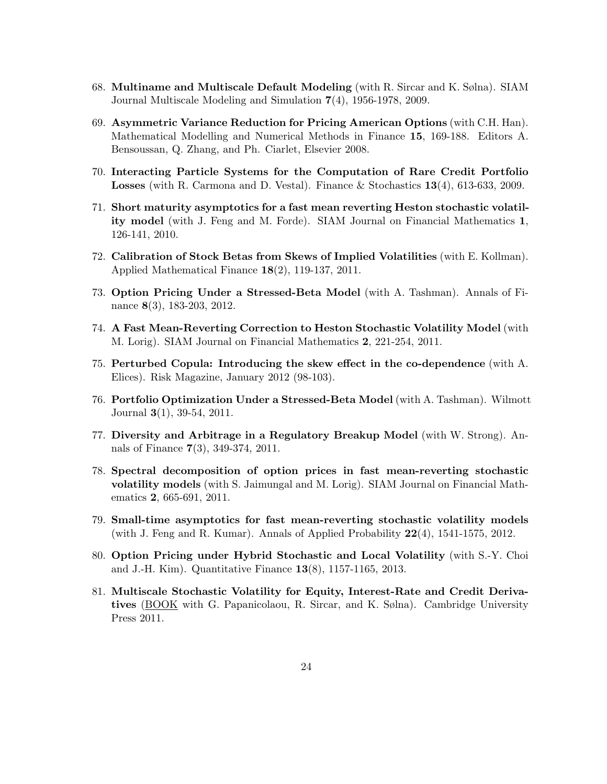- 68. Multiname and Multiscale Default Modeling (with R. Sircar and K. Sølna). SIAM Journal Multiscale Modeling and Simulation 7(4), 1956-1978, 2009.
- 69. Asymmetric Variance Reduction for Pricing American Options (with C.H. Han). Mathematical Modelling and Numerical Methods in Finance 15, 169-188. Editors A. Bensoussan, Q. Zhang, and Ph. Ciarlet, Elsevier 2008.
- 70. Interacting Particle Systems for the Computation of Rare Credit Portfolio Losses (with R. Carmona and D. Vestal). Finance & Stochastics 13(4), 613-633, 2009.
- 71. Short maturity asymptotics for a fast mean reverting Heston stochastic volatility model (with J. Feng and M. Forde). SIAM Journal on Financial Mathematics 1, 126-141, 2010.
- 72. Calibration of Stock Betas from Skews of Implied Volatilities (with E. Kollman). Applied Mathematical Finance 18(2), 119-137, 2011.
- 73. Option Pricing Under a Stressed-Beta Model (with A. Tashman). Annals of Finance 8(3), 183-203, 2012.
- 74. A Fast Mean-Reverting Correction to Heston Stochastic Volatility Model (with M. Lorig). SIAM Journal on Financial Mathematics 2, 221-254, 2011.
- 75. Perturbed Copula: Introducing the skew effect in the co-dependence (with A. Elices). Risk Magazine, January 2012 (98-103).
- 76. Portfolio Optimization Under a Stressed-Beta Model (with A. Tashman). Wilmott Journal 3(1), 39-54, 2011.
- 77. Diversity and Arbitrage in a Regulatory Breakup Model (with W. Strong). Annals of Finance 7(3), 349-374, 2011.
- 78. Spectral decomposition of option prices in fast mean-reverting stochastic volatility models (with S. Jaimungal and M. Lorig). SIAM Journal on Financial Mathematics 2, 665-691, 2011.
- 79. Small-time asymptotics for fast mean-reverting stochastic volatility models (with J. Feng and R. Kumar). Annals of Applied Probability 22(4), 1541-1575, 2012.
- 80. Option Pricing under Hybrid Stochastic and Local Volatility (with S.-Y. Choi and J.-H. Kim). Quantitative Finance 13(8), 1157-1165, 2013.
- 81. Multiscale Stochastic Volatility for Equity, Interest-Rate and Credit Derivatives (BOOK with G. Papanicolaou, R. Sircar, and K. Sølna). Cambridge University Press 2011.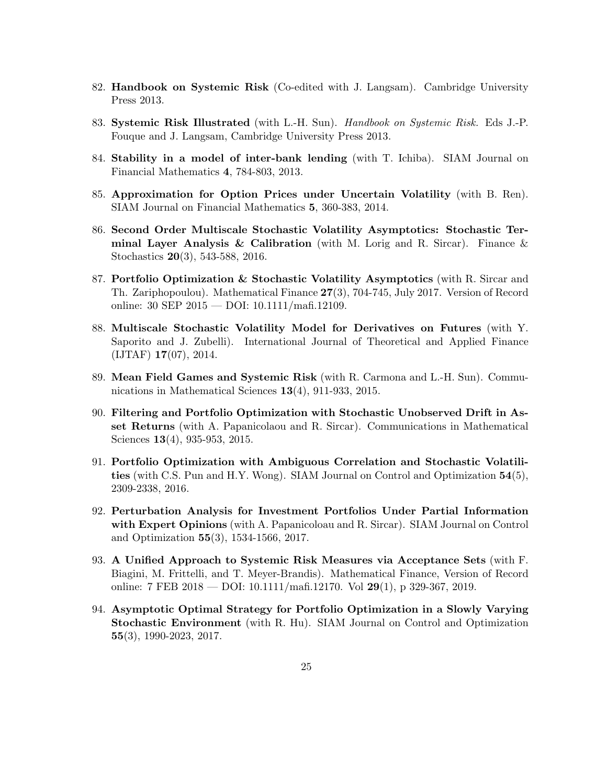- 82. Handbook on Systemic Risk (Co-edited with J. Langsam). Cambridge University Press 2013.
- 83. Systemic Risk Illustrated (with L.-H. Sun). Handbook on Systemic Risk. Eds J.-P. Fouque and J. Langsam, Cambridge University Press 2013.
- 84. Stability in a model of inter-bank lending (with T. Ichiba). SIAM Journal on Financial Mathematics 4, 784-803, 2013.
- 85. Approximation for Option Prices under Uncertain Volatility (with B. Ren). SIAM Journal on Financial Mathematics 5, 360-383, 2014.
- 86. Second Order Multiscale Stochastic Volatility Asymptotics: Stochastic Terminal Layer Analysis & Calibration (with M. Lorig and R. Sircar). Finance  $\&$ Stochastics 20(3), 543-588, 2016.
- 87. Portfolio Optimization & Stochastic Volatility Asymptotics (with R. Sircar and Th. Zariphopoulou). Mathematical Finance 27(3), 704-745, July 2017. Version of Record online: 30 SEP 2015 — DOI: 10.1111/mafi.12109.
- 88. Multiscale Stochastic Volatility Model for Derivatives on Futures (with Y. Saporito and J. Zubelli). International Journal of Theoretical and Applied Finance (IJTAF) 17(07), 2014.
- 89. Mean Field Games and Systemic Risk (with R. Carmona and L.-H. Sun). Communications in Mathematical Sciences 13(4), 911-933, 2015.
- 90. Filtering and Portfolio Optimization with Stochastic Unobserved Drift in Asset Returns (with A. Papanicolaou and R. Sircar). Communications in Mathematical Sciences **13**(4), 935-953, 2015.
- 91. Portfolio Optimization with Ambiguous Correlation and Stochastic Volatilities (with C.S. Pun and H.Y. Wong). SIAM Journal on Control and Optimization 54(5), 2309-2338, 2016.
- 92. Perturbation Analysis for Investment Portfolios Under Partial Information with Expert Opinions (with A. Papanicoloau and R. Sircar). SIAM Journal on Control and Optimization 55(3), 1534-1566, 2017.
- 93. A Unified Approach to Systemic Risk Measures via Acceptance Sets (with F. Biagini, M. Frittelli, and T. Meyer-Brandis). Mathematical Finance, Version of Record online: 7 FEB 2018 — DOI: 10.1111/mafi.12170. Vol 29(1), p 329-367, 2019.
- 94. Asymptotic Optimal Strategy for Portfolio Optimization in a Slowly Varying Stochastic Environment (with R. Hu). SIAM Journal on Control and Optimization 55(3), 1990-2023, 2017.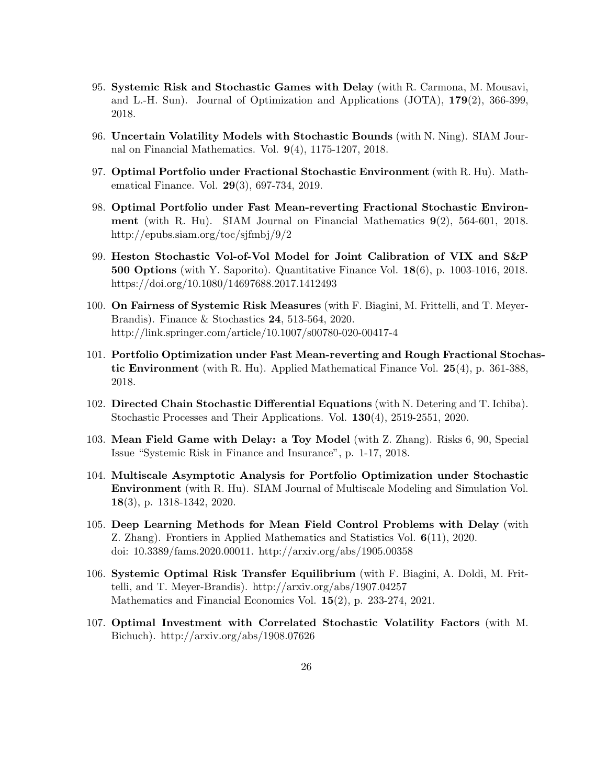- 95. Systemic Risk and Stochastic Games with Delay (with R. Carmona, M. Mousavi, and L.-H. Sun). Journal of Optimization and Applications (JOTA), 179(2), 366-399, 2018.
- 96. Uncertain Volatility Models with Stochastic Bounds (with N. Ning). SIAM Journal on Financial Mathematics. Vol. 9(4), 1175-1207, 2018.
- 97. Optimal Portfolio under Fractional Stochastic Environment (with R. Hu). Mathematical Finance. Vol. 29(3), 697-734, 2019.
- 98. Optimal Portfolio under Fast Mean-reverting Fractional Stochastic Environment (with R. Hu). SIAM Journal on Financial Mathematics 9(2), 564-601, 2018. http://epubs.siam.org/toc/sjfmbj/9/2
- 99. Heston Stochastic Vol-of-Vol Model for Joint Calibration of VIX and S&P 500 Options (with Y. Saporito). Quantitative Finance Vol. 18(6), p. 1003-1016, 2018. https://doi.org/10.1080/14697688.2017.1412493
- 100. On Fairness of Systemic Risk Measures (with F. Biagini, M. Frittelli, and T. Meyer-Brandis). Finance & Stochastics 24, 513-564, 2020. http://link.springer.com/article/10.1007/s00780-020-00417-4
- 101. Portfolio Optimization under Fast Mean-reverting and Rough Fractional Stochastic Environment (with R. Hu). Applied Mathematical Finance Vol. 25(4), p. 361-388, 2018.
- 102. Directed Chain Stochastic Differential Equations (with N. Detering and T. Ichiba). Stochastic Processes and Their Applications. Vol. 130(4), 2519-2551, 2020.
- 103. Mean Field Game with Delay: a Toy Model (with Z. Zhang). Risks 6, 90, Special Issue "Systemic Risk in Finance and Insurance", p. 1-17, 2018.
- 104. Multiscale Asymptotic Analysis for Portfolio Optimization under Stochastic Environment (with R. Hu). SIAM Journal of Multiscale Modeling and Simulation Vol. 18(3), p. 1318-1342, 2020.
- 105. Deep Learning Methods for Mean Field Control Problems with Delay (with Z. Zhang). Frontiers in Applied Mathematics and Statistics Vol. 6(11), 2020. doi: 10.3389/fams.2020.00011. http://arxiv.org/abs/1905.00358
- 106. Systemic Optimal Risk Transfer Equilibrium (with F. Biagini, A. Doldi, M. Frittelli, and T. Meyer-Brandis). http://arxiv.org/abs/1907.04257 Mathematics and Financial Economics Vol. 15(2), p. 233-274, 2021.
- 107. Optimal Investment with Correlated Stochastic Volatility Factors (with M. Bichuch). http://arxiv.org/abs/1908.07626